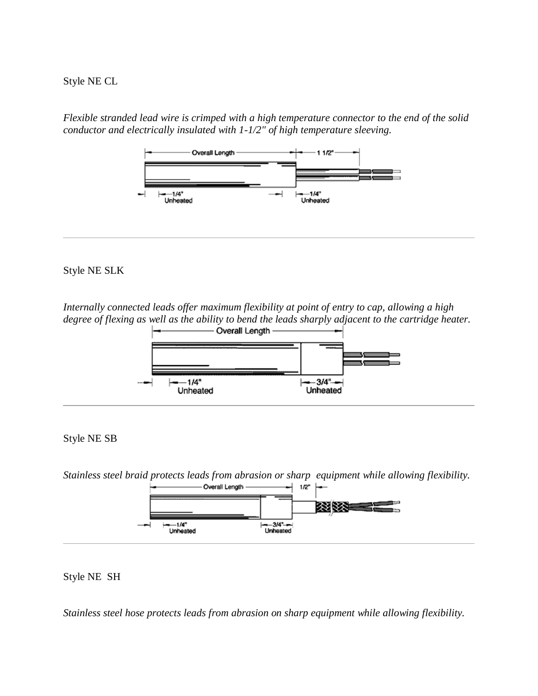Style NE CL

*Flexible stranded lead wire is crimped with a high temperature connector to the end of the solid conductor and electrically insulated with 1-1/2" of high temperature sleeving.*



# Style NE SLK

*Internally connected leads offer maximum flexibility at point of entry to cap, allowing a high degree of flexing as well as the ability to bend the leads sharply adjacent to the cartridge heater.*<br>  $\begin{array}{ccc}\n & -\longrightarrow & \text{Overall Length} \longrightarrow \\
\end{array}$ 



#### Style NE SB

*Stainless steel braid protects leads from abrasion or sharp equipment while allowing flexibility.*



# Style NE SH

*Stainless steel hose protects leads from abrasion on sharp equipment while allowing flexibility.*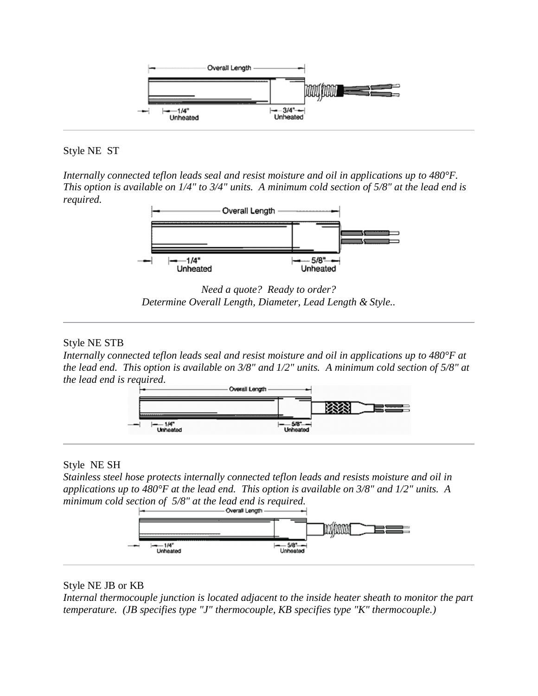

Style NE ST

*Internally connected teflon leads seal and resist moisture and oil in applications up to 480°F. This option is available on 1/4" to 3/4" units. A minimum cold section of 5/8" at the lead end is required.*



*Need a quote? Ready to order? Determine Overall Length, Diameter, Lead Length & Style..*

# Style NE STB

*Internally connected teflon leads seal and resist moisture and oil in applications up to 480°F at the lead end. This option is available on 3/8" and 1/2" units. A minimum cold section of 5/8" at the lead end is required.*



# Style NE SH

*Stainless steel hose protects internally connected teflon leads and resists moisture and oil in applications up to 480°F at the lead end. This option is available on 3/8" and 1/2" units. A minimum cold section of 5/8" at the lead end is required.* 



# Style NE JB or KB

*Internal thermocouple junction is located adjacent to the inside heater sheath to monitor the part temperature. (JB specifies type "J" thermocouple, KB specifies type "K" thermocouple.)*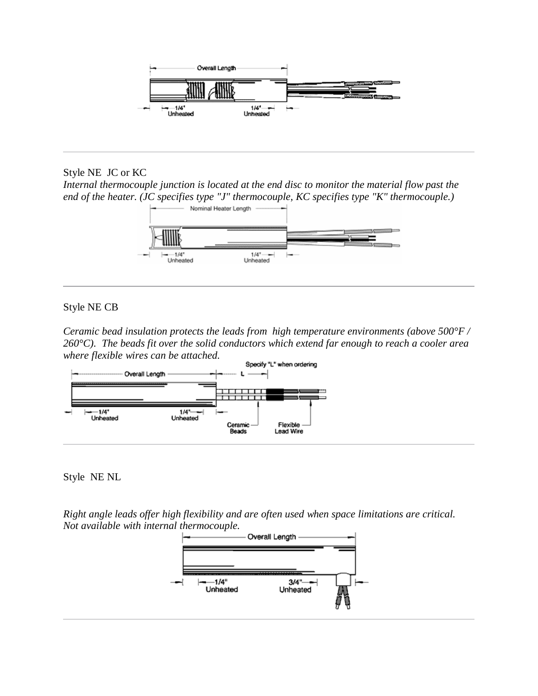

Style NE JC or KC

*Internal thermocouple junction is located at the end disc to monitor the material flow past the end of the heater. (JC specifies type "J" thermocouple, KC specifies type "K" thermocouple.)* 



# Style NE CB

*Ceramic bead insulation protects the leads from high temperature environments (above 500°F / 260°C). The beads fit over the solid conductors which extend far enough to reach a cooler area where flexible wires can be attached.*



Style NE NL

*Right angle leads offer high flexibility and are often used when space limitations are critical. Not available with internal thermocouple.*

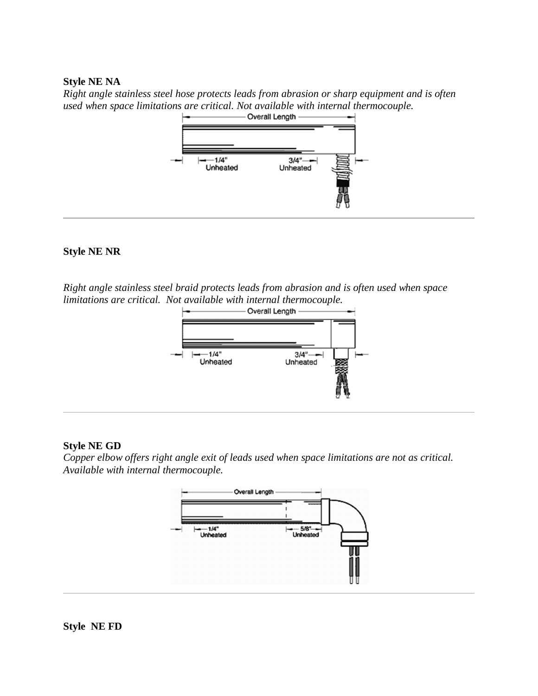#### **Style NE NA**

*Right angle stainless steel hose protects leads from abrasion or sharp equipment and is often used when space limitations are critical. Not available with internal thermocouple.*<br> **b contraded Decision Decision Contraded Decision Contraded Decision Contraded Decision Contraded Decision Contraded Decision Contrad** 



# **Style NE NR**

*Right angle stainless steel braid protects leads from abrasion and is often used when space limitations are critical. Not available with internal thermocouple.*



#### **Style NE GD**

*Copper elbow offers right angle exit of leads used when space limitations are not as critical. Available with internal thermocouple.*



**Style NE FD**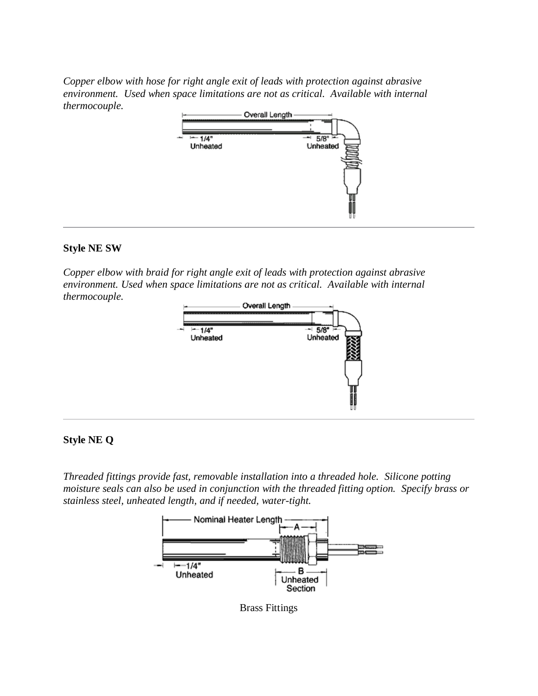*Copper elbow with hose for right angle exit of leads with protection against abrasive environment. Used when space limitations are not as critical. Available with internal thermocouple.*



#### **Style NE SW**

*Copper elbow with braid for right angle exit of leads with protection against abrasive environment. Used when space limitations are not as critical. Available with internal thermocouple.*



#### **Style NE Q**

*Threaded fittings provide fast, removable installation into a threaded hole. Silicone potting moisture seals can also be used in conjunction with the threaded fitting option. Specify brass or stainless steel, unheated length, and if needed, water-tight.*



Brass Fittings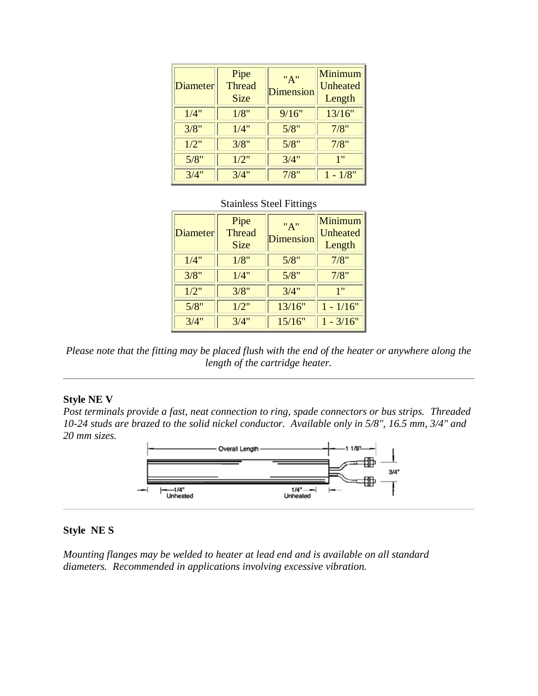| Diameter | Pipe<br><b>Thread</b><br><b>Size</b> | "A"<br>Dimension | Minimum<br>Unheated<br>Length |
|----------|--------------------------------------|------------------|-------------------------------|
| 1/4"     | 1/8"                                 | 9/16"            | 13/16"                        |
| 3/8"     | 1/4"                                 | 5/8"             | 7/8"                          |
| 1/2"     | 3/8"                                 | 5/8"             | 7/8"                          |
| 5/8"     | 1/2"                                 | 3/4"             | 1"                            |
| 3/4"     | 3/4"                                 | 7/8"             | $1 - 1/8"$                    |

# Stainless Steel Fittings

| <b>Diameter</b> | Pipe<br><b>Thread</b><br><b>Size</b> | "A"<br>Dimension | Minimum<br>Unheated<br>Length |
|-----------------|--------------------------------------|------------------|-------------------------------|
| 1/4"            | 1/8"                                 | 5/8"             | 7/8"                          |
| 3/8"            | 1/4"                                 | 5/8"             | 7/8"                          |
| 1/2"            | 3/8"                                 | 3/4"             | 1"                            |
| 5/8"            | 1/2"                                 | 13/16"           | $1 - 1/16"$                   |
| 3/4"            | 3/4"                                 | 15/16"           | $1 - \frac{3}{16}$            |

*Please note that the fitting may be placed flush with the end of the heater or anywhere along the length of the cartridge heater.* 

#### **Style NE V**

*Post terminals provide a fast, neat connection to ring, spade connectors or bus strips. Threaded 10-24 studs are brazed to the solid nickel conductor. Available only in 5/8", 16.5 mm, 3/4" and 20 mm sizes.*



#### **Style NE S**

*Mounting flanges may be welded to heater at lead end and is available on all standard diameters. Recommended in applications involving excessive vibration.*